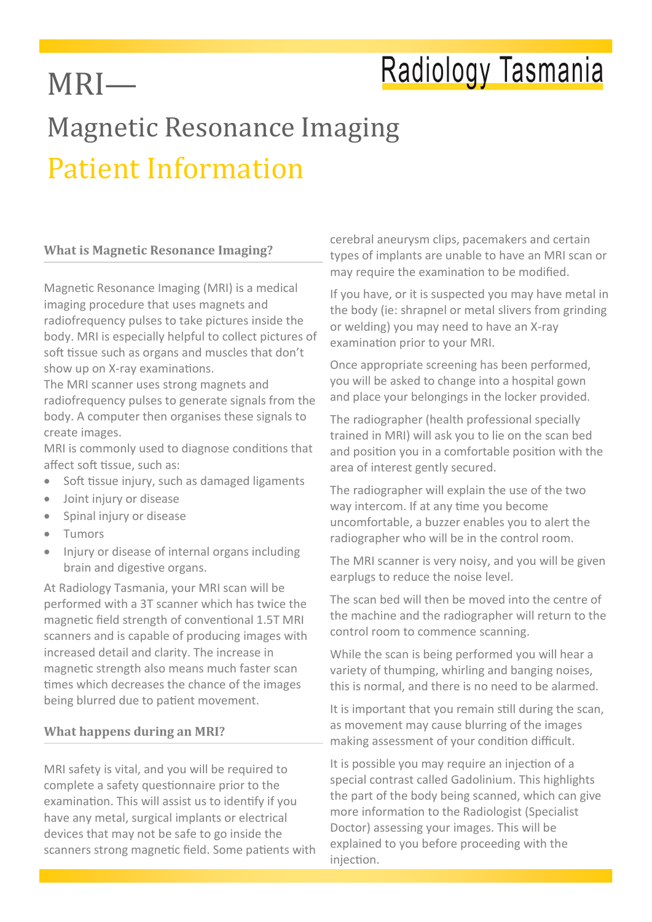## Radiology Tasmania

## Magnetic Resonance Imaging Patient Information

#### **What is Magnetic Resonance Imaging?**

MRI—

Magnetic Resonance Imaging (MRI) is a medical imaging procedure that uses magnets and radiofrequency pulses to take pictures inside the body. MRI is especially helpful to collect pictures of soft tissue such as organs and muscles that don't show up on X-ray examinations.

The MRI scanner uses strong magnets and radiofrequency pulses to generate signals from the body. A computer then organises these signals to create images.

MRI is commonly used to diagnose conditions that affect soft tissue, such as:

- Soft tissue injury, such as damaged ligaments
- Joint injury or disease
- Spinal injury or disease
- Tumors
- Injury or disease of internal organs including brain and digestive organs.

At Radiology Tasmania, your MRI scan will be performed with a 3T scanner which has twice the magnetic field strength of conventional 1.5T MRI scanners and is capable of producing images with increased detail and clarity. The increase in magnetic strength also means much faster scan times which decreases the chance of the images being blurred due to patient movement.

#### **What happens during an MRI?**

MRI safety is vital, and you will be required to complete a safety questionnaire prior to the examination. This will assist us to identify if you have any metal, surgical implants or electrical devices that may not be safe to go inside the scanners strong magnetic field. Some patients with cerebral aneurysm clips, pacemakers and certain types of implants are unable to have an MRI scan or may require the examination to be modified.

If you have, or it is suspected you may have metal in the body (ie: shrapnel or metal slivers from grinding or welding) you may need to have an X-ray examination prior to your MRI.

Once appropriate screening has been performed, you will be asked to change into a hospital gown and place your belongings in the locker provided.

The radiographer (health professional specially trained in MRI) will ask you to lie on the scan bed and position you in a comfortable position with the area of interest gently secured.

The radiographer will explain the use of the two way intercom. If at any time you become uncomfortable, a buzzer enables you to alert the radiographer who will be in the control room.

The MRI scanner is very noisy, and you will be given earplugs to reduce the noise level.

The scan bed will then be moved into the centre of the machine and the radiographer will return to the control room to commence scanning.

While the scan is being performed you will hear a variety of thumping, whirling and banging noises, this is normal, and there is no need to be alarmed.

It is important that you remain still during the scan, as movement may cause blurring of the images making assessment of your condition difficult.

It is possible you may require an injection of a special contrast called Gadolinium. This highlights the part of the body being scanned, which can give more information to the Radiologist (Specialist Doctor) assessing your images. This will be explained to you before proceeding with the injection.